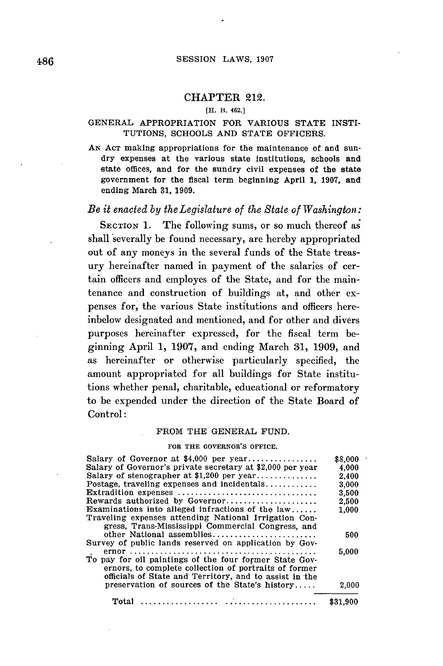### CHAPTER 212.

#### [H. H. 462.]

### **GENERAL** APPROPRIATION FOR VARIOUS **STATE** INSTI-TUTIONS, **SCHOOLS AND STATE** OFFICERS.

**AN ACT** making appropriations for the maintenance of and sundry expenses at the various state institutions, schools and state offices, and for the sundry civil expenses of the state government for the fiscal term beginning April **1, 1907,** and ending March **31, 1909.**

### *Be it enacted by theLegislature of the State of Washington:*

SECTION 1. The following sums, or so much thereof as shall severally be found necessary, are hereby appropriated out of any moneys in the several funds of the State treasury hereinafter named in payment of the salaries of certain officers and employes of the State, and for the maintenance and construction of buildings at, and other expenses for, the various State institutions and officers hereinbelow designated and mentioned, and for other and divers purposes hereinafter expressed, for the fiscal term beginning April **1, 1907,** and ending March **31, 1909,** and as hereinafter or otherwise particularly specified, the amount appropriated for all buildings for State institutions whether penal, charitable, educational or reformatory to be expended under the direction of the State Board of Control:

#### FROM THE **GENERAL FUND.**

#### FOR THE GOVERNOR'S **OFFICE.**

| Salary of Governor at \$4,000 per year                       | \$8,000  |
|--------------------------------------------------------------|----------|
| Salary of Governor's private secretary at \$2,000 per year   | 4,000    |
| Salary of stenographer at \$1,200 per year                   | 2,400    |
| Postage. traveling expenses and incidentals                  | 3,000    |
| Extradition expenses                                         | 3.500    |
| Rewards authorized by Governor                               | 2.500    |
| Examinations into alleged infractions of the $law, \ldots$ . | 1.000    |
| Traveling expenses attending National Irrigation Con-        |          |
| gress, Trans-Mississippi Commercial Congress, and            |          |
| other National assemblies                                    | 500      |
| Survey of public lands reserved on application by Gov-       |          |
|                                                              | 5,000    |
| To pay for oil paintings of the four former State Gov-       |          |
| ernors, to complete collection of portraits of former        |          |
| officials of State and Territory, and to assist in the       |          |
| preservation of sources of the State's history               | 2,000    |
| Total                                                        | \$31,900 |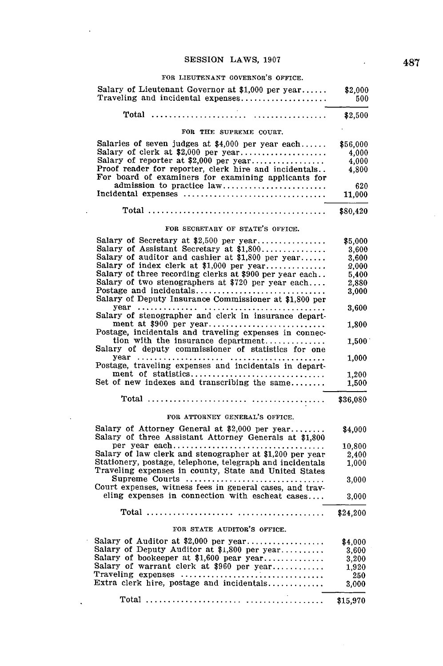$\ddot{\phantom{a}}$ 

 $\sim$ 

 $\sim$ 

 $\ddot{\phantom{a}}$ 

 $\ddot{\phantom{0}}$ 

#### **FOR LIEUTENANT GOVERNOR'S OFFICE.**

| Salary of Lieutenant Governor at \$1,000 per year<br>Traveling and incidental expenses                       | \$2,000<br>500  |
|--------------------------------------------------------------------------------------------------------------|-----------------|
|                                                                                                              | \$2,500         |
| FOR THE SUPREME COURT.                                                                                       |                 |
| Salaries of seven judges at \$4,000 per year each                                                            | \$56,000        |
| Salary of clerk at \$2,000 per year                                                                          | 4,000           |
| Salary of reporter at \$2,000 per year                                                                       | 4,000           |
| Proof reader for reporter, clerk hire and incidentals<br>For board of examiners for examining applicants for | 4,800           |
|                                                                                                              | 620             |
|                                                                                                              | 11,000          |
|                                                                                                              | \$80,420        |
| FOR SECRETARY OF STATE'S OFFICE.                                                                             |                 |
| Salary of Secretary at \$2,500 per year                                                                      | \$5,000         |
| Salary of Assistant Secretary at \$1,800                                                                     | 3,600           |
| Salary of auditor and cashier at \$1,800 per year                                                            | 3,600           |
| Salary of index clerk at \$1,000 per year                                                                    | 2,000           |
| Salary of three recording clerks at \$900 per year each                                                      | 5,400           |
| Salary of two stenographers at \$720 per year each                                                           | 2,880           |
| Postage and incidentals<br>Salary of Deputy Insurance Commissioner at \$1,800 per                            | 3,000           |
| Salary of stenographer and clerk in insurance depart-                                                        | 3,600           |
| ment at \$900 per year<br>Postage, incidentals and traveling expenses in connec-                             | 1,800           |
| tion with the insurance department<br>Salary of deputy commissioner of statistics for one                    | $1,500^{\circ}$ |
| Postage, traveling expenses and incidentals in depart-                                                       | 1,000           |
| ment of statistics                                                                                           | 1.200           |
| Set of new indexes and transcribing the same                                                                 | 1,500           |
|                                                                                                              | \$36,080        |
| FOR ATTORNEY GENERAL'S OFFICE.                                                                               |                 |
| Salary of Attorney General at \$2,000 per year<br>Salary of three Assistant Attorney Generals at \$1,800     | \$4,000         |
| per year each                                                                                                | 10,800          |
| Salary of law clerk and stenographer at \$1,200 per year                                                     | 2,400           |
| Stationery, postage, telephone, telegraph and incidentals                                                    | 1,000           |
| Traveling expenses in county, State and United States<br>Supreme Courts                                      |                 |
| Court expenses, witness fees in general cases, and trav-                                                     | 3,000           |
| eling expenses in connection with escheat cases                                                              | 3,000           |
|                                                                                                              | \$24,200        |
| FOR STATE AUDITOR'S OFFICE.                                                                                  |                 |
| Salary of Auditor at $$2,000$ per year                                                                       | \$4.000         |
| Salary of Deputy Auditor at \$1,800 per year                                                                 | 3,600           |
| Salary of bookeeper at \$1,600 pear year                                                                     | 3,200           |
| Salary of warrant clerk at \$960 per year                                                                    | 1,920           |
|                                                                                                              | 250             |
| Extra clerk hire, postage and incidentals                                                                    | 3,000           |

Total **...................... ................... \$15,970**

 $\bar{z}$ 

 $\overline{\phantom{a}}$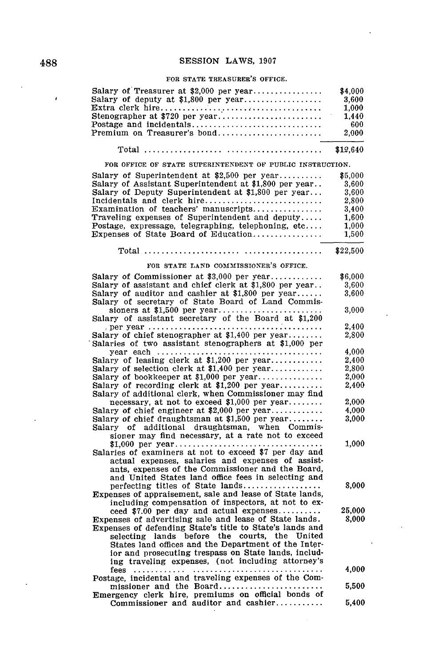### **FOR STATE TREASURER'S OFFICE.**

| Salary of Treasurer at $$2,000$ per year<br>Salary of deputy at $\$1,800$ per year | \$4,000<br>3.600 |
|------------------------------------------------------------------------------------|------------------|
|                                                                                    | 1.000            |
|                                                                                    | 1.440            |
|                                                                                    | -600             |
|                                                                                    | 2.000            |
|                                                                                    |                  |
| FOR OFFICE OF STATE SUPERINTENDENT OF PUBLIC INSTRUCTION.                          |                  |

| Salary of Superintendent at \$2,500 per year                                                              | \$5,000        |
|-----------------------------------------------------------------------------------------------------------|----------------|
| Salary of Assistant Superintendent at \$1,800 per year                                                    | 3,600          |
| Salary of Deputy Superintendent at \$1,800 per year                                                       | 3,600          |
| Incidentals and clerk hire                                                                                | 2.800          |
| Examination of teachers' manuscripts                                                                      | 3,400          |
| Traveling expenses of Superintendent and deputy                                                           | 1,600          |
| Postage, expressage, telegraphing, telephoning, etc                                                       | 1.000          |
| Expenses of State Board of Education                                                                      | 1,500          |
|                                                                                                           | \$22,500       |
| FOR STATE LAND COMMISSIONER'S OFFICE.                                                                     |                |
| Salary of Commissioner at \$3,000 per year                                                                | \$6,000        |
| Salary of assistant and chief clerk at \$1,800 per year                                                   | 3,600          |
| Salary of auditor and cashier at $$1,800$ per year                                                        | 3.600          |
| Salary of secretary of State Board of Land Commis-                                                        |                |
|                                                                                                           | 3.000          |
| Salary of assistant secretary of the Board at \$1,200                                                     |                |
| per year $\ldots \ldots \ldots \ldots \ldots \ldots \ldots \ldots$                                        | 2.400          |
| Salary of chief stenographer at $$1,400$ per year                                                         | 2,800          |
| Salaries of two assistant stenographers at \$1,000 per                                                    |                |
|                                                                                                           | 4,000          |
| Salary of leasing clerk at \$1,200 per year                                                               | 2,400          |
| Salary of selection clerk at $$1,400$ per year                                                            | 2,800          |
| Salary of bookkeeper at \$1,000 per year<br>Salary of recording clerk at \$1,200 per year                 | 2,000<br>2.400 |
| Salary of additional clerk, when Commissioner may find                                                    |                |
| necessary, at not to exceed \$1,000 per year                                                              | 2,000          |
| Salary of chief engineer at $2,000$ per year                                                              | 4.000          |
| Salary of chief draughtsman at \$1,500 per year                                                           | 3,000          |
| additional draughtsman, when Commis-<br>Salary of                                                         |                |
| sioner may find necessary, at a rate not to exceed                                                        |                |
|                                                                                                           | 1,000          |
| Salaries of examiners at not to exceed \$7 per day and                                                    |                |
| actual expenses, salaries and expenses of assist-                                                         |                |
| ants, expenses of the Commissioner and the Board,                                                         |                |
| and United States land office fees in selecting and                                                       |                |
| perfecting titles of State lands                                                                          | 8,000          |
| Expenses of appraisement, sale and lease of State lands,                                                  |                |
| including compensation of inspectors, at not to ex-                                                       |                |
| ceed \$7.00 per day and actual expenses                                                                   | 25,000         |
| Expenses of advertising sale and lease of State lands.                                                    | 8.000          |
| Expenses of defending State's title to State's lands and<br>selecting lands before the courts, the United |                |
| States land offices and the Department of the Inter-                                                      |                |
| ior and prosecuting trespass on State lands, includ-                                                      |                |
| ing traveling expenses, (not including attorney's                                                         |                |
|                                                                                                           | 4.000          |
| Postage, incidental and traveling expenses of the Com-                                                    |                |
| missioner and the Board                                                                                   | 5.500          |
| Emergency clerk hire, premiums on official bonds of                                                       |                |
| Commissioner and auditor and cashier                                                                      | 5.400          |

 $\ddot{\phantom{1}}$ 

 $\bar{t}$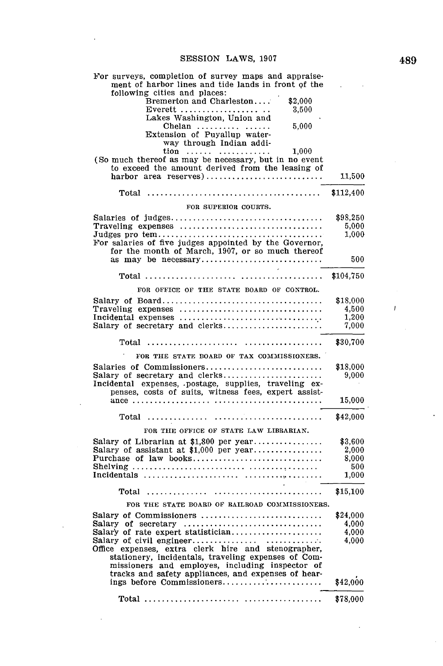| For surveys, completion of survey maps and appraise-<br>ment of harbor lines and tide lands in front of the                                              |                |
|----------------------------------------------------------------------------------------------------------------------------------------------------------|----------------|
| following cities and places:                                                                                                                             |                |
| \$2,000<br>Bremerton and Charleston                                                                                                                      |                |
| 3,500<br>Everett<br>Lakes Washington, Union and                                                                                                          |                |
| 5,000<br>Chelan                                                                                                                                          |                |
| Extension of Puyallup water-                                                                                                                             |                |
| way through Indian addi-                                                                                                                                 |                |
| $\begin{array}{cccc}\n\text{tion} & \dots & \dots & \dots & \dots & 1,000 \\ \text{(So much thereof as may be necessary, but in no event)}\n\end{array}$ |                |
| to exceed the amount derived from the leasing of                                                                                                         |                |
| harbor area reserves)                                                                                                                                    | 11,500         |
|                                                                                                                                                          |                |
|                                                                                                                                                          | \$112,400      |
| FOR SUPERIOR COURTS.                                                                                                                                     |                |
|                                                                                                                                                          | \$98,250       |
| Traveling expenses                                                                                                                                       | 5,000<br>1,000 |
| For salaries of five judges appointed by the Governor,                                                                                                   |                |
| for the month of March, 1907, or so much thereof                                                                                                         |                |
|                                                                                                                                                          | 500            |
|                                                                                                                                                          |                |
|                                                                                                                                                          | \$104,750      |
| FOR OFFICE OF THE STATE BOARD OF CONTROL.                                                                                                                |                |
|                                                                                                                                                          | \$18,000       |
|                                                                                                                                                          | 4,500          |
|                                                                                                                                                          | 1.200<br>7,000 |
| Salary of secretary and clerks                                                                                                                           |                |
|                                                                                                                                                          | \$30,700       |
| FOR THE STATE BOARD OF TAX COMMISSIONERS.                                                                                                                |                |
| Salaries of Commissioners                                                                                                                                | \$18,000       |
| Salary of secretary and clerks                                                                                                                           | 9,000          |
| Incidental expenses, postage, supplies, traveling ex-<br>penses, costs of suits, witness fees, expert assist-                                            |                |
|                                                                                                                                                          | 15,000         |
|                                                                                                                                                          |                |
| Total                                                                                                                                                    | \$42,000       |
| FOR THE OFFICE OF STATE LAW LIBRARIAN.                                                                                                                   |                |
| Salary of Librarian at $$1,800$ per year                                                                                                                 | \$3,600        |
| Salary of assistant at \$1,000 per year                                                                                                                  | 2.000          |
| Purchase of law books                                                                                                                                    | 8,000          |
|                                                                                                                                                          | 500<br>1,000   |
|                                                                                                                                                          |                |
| Total $\dots\dots\dots\dots$                                                                                                                             | \$15,100       |
| FOR THE STATE BOARD OF RAILBOAD COMMISSIONERS.                                                                                                           |                |
| Salary of Commissioners                                                                                                                                  | \$24,000       |
| Salary of secretary                                                                                                                                      | 4,000          |
| Salary of rate expert statistician                                                                                                                       | 4,000          |
| Office expenses, extra clerk hire and stenographer,                                                                                                      | 4,000          |
| stationery, incidentals, traveling expenses of Com-                                                                                                      |                |
| missioners and employes, including inspector of                                                                                                          |                |
| tracks and safety appliances, and expenses of hear-                                                                                                      |                |
| ings before Commissioners                                                                                                                                | \$42,000       |
|                                                                                                                                                          | \$78,000       |

l.

 $\mathcal{A}$ 

 $\bar{I}$ 

 $\cdot$ 

 $\overline{a}$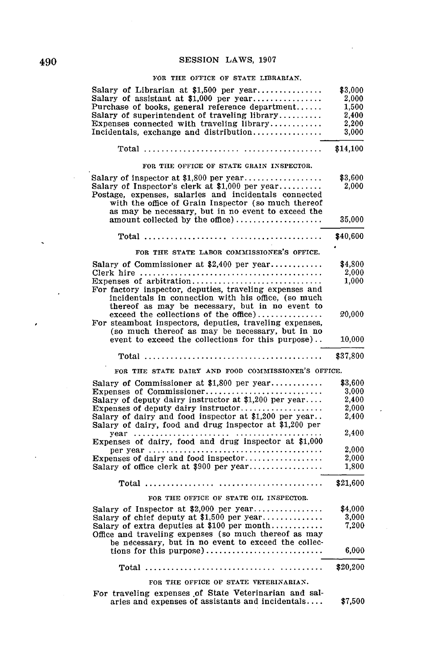### FOR THE **OFFICE** OF **STATE** LIBRARIAN.

| Salary of Librarian at \$1,500 per year<br>Salary of assistant at $$1,000$ per year<br>Purchase of books, general reference department<br>Salary of superintendent of traveling library<br>Expenses connected with traveling library<br>Incidentals, exchange and distribution                                             | \$3,000<br>2,000<br>1.500<br>2,400<br>2,200<br>3,000 |
|----------------------------------------------------------------------------------------------------------------------------------------------------------------------------------------------------------------------------------------------------------------------------------------------------------------------------|------------------------------------------------------|
|                                                                                                                                                                                                                                                                                                                            | \$14,100                                             |
| FOR THE OFFICE OF STATE GRAIN INSPECTOR.                                                                                                                                                                                                                                                                                   |                                                      |
| Salary of inspector at \$1,800 per year<br>Salary of Inspector's clerk at \$1,000 per year<br>Postage, expenses, salaries and incidentals connected<br>with the office of Grain Inspector (so much thereof<br>as may be necessary, but in no event to exceed the                                                           | \$3,600<br>2,000<br>35,000                           |
|                                                                                                                                                                                                                                                                                                                            |                                                      |
|                                                                                                                                                                                                                                                                                                                            | \$40,600                                             |
| FOR THE STATE LABOR COMMISSIONER'S OFFICE.                                                                                                                                                                                                                                                                                 |                                                      |
| Salary of Commissioner at $$2,400$ per year                                                                                                                                                                                                                                                                                | \$4,800                                              |
|                                                                                                                                                                                                                                                                                                                            | 2,000                                                |
| Expenses of arbitration<br>For factory inspector, deputies, traveling expenses and<br>incidentals in connection with his office, (so much<br>thereof as may be necessary, but in no event to<br>$exceed the collections of the office) \dots \dots \dots \dots$<br>For steamboat inspectors, deputies, traveling expenses, | 1,000<br>20,000                                      |
| (so much thereof as may be necessary, but in no<br>event to exceed the collections for this purpose)                                                                                                                                                                                                                       | 10,000                                               |
|                                                                                                                                                                                                                                                                                                                            |                                                      |
|                                                                                                                                                                                                                                                                                                                            | \$37,800                                             |
| FOR THE STATE DAIRY AND FOOD COMMISSIONER'S OFFICE.                                                                                                                                                                                                                                                                        |                                                      |
|                                                                                                                                                                                                                                                                                                                            | \$3,600                                              |
| Salary of Commissioner at \$1,800 per year<br>Expenses of Commissioner                                                                                                                                                                                                                                                     | 3,000                                                |
| Salary of deputy dairy instructor at \$1,200 per year                                                                                                                                                                                                                                                                      | 2.400                                                |
| Expenses of deputy dairy instructor                                                                                                                                                                                                                                                                                        | 2,000                                                |
| Salary of dairy and food inspector at \$1,200 per year<br>Salary of dairy, food and drug inspector at \$1,200 per                                                                                                                                                                                                          | 2,400                                                |
|                                                                                                                                                                                                                                                                                                                            | 2,400                                                |
| Expenses of dairy, food and drug inspector at \$1,000                                                                                                                                                                                                                                                                      |                                                      |
|                                                                                                                                                                                                                                                                                                                            | 2,000                                                |
| Expenses of dairy and food inspector<br>Salary of office clerk at \$900 per year                                                                                                                                                                                                                                           | 2,000<br>1,800                                       |
| $Total$                                                                                                                                                                                                                                                                                                                    | \$21,600                                             |
| FOR THE OFFICE OF STATE OIL INSPECTOR.                                                                                                                                                                                                                                                                                     |                                                      |
| Salary of Inspector at \$2,000 per year                                                                                                                                                                                                                                                                                    | \$4,000                                              |
| Salary of chief deputy at \$1,500 per year                                                                                                                                                                                                                                                                                 | 3.000                                                |
| Salary of extra deputies at \$100 per month<br>Office and traveling expenses (so much thereof as may<br>be necessary, but in no event to exceed the collec-                                                                                                                                                                | 7,200<br>6,000                                       |
| Total                                                                                                                                                                                                                                                                                                                      | \$20,200                                             |
| FOR THE OFFICE OF STATE VETERINARIAN.                                                                                                                                                                                                                                                                                      |                                                      |

 $\ddot{\phantom{0}}$ 

 $\cdot$ 

 $\ddot{\phantom{a}}$ 

 $\hat{\boldsymbol{\cdot} }$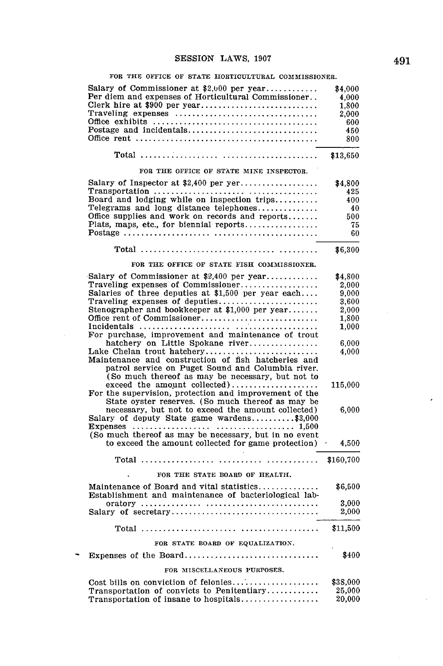### **FOR THE OFFICE OF STATE HORTICULTURAL COMMISSIONER.**

| Salary of Commissioner at $2,000$ per year<br>Per diem and expenses of Horticultural Commissioner<br>Clerk hire at \$900 per year                                                                               | \$4,000<br>4,000<br>1,800 |
|-----------------------------------------------------------------------------------------------------------------------------------------------------------------------------------------------------------------|---------------------------|
| Traveling expenses                                                                                                                                                                                              | 2,000<br>600              |
|                                                                                                                                                                                                                 | 450                       |
|                                                                                                                                                                                                                 | 800                       |
|                                                                                                                                                                                                                 | \$13,650                  |
| FOR THE OFFICE OF STATE MINE INSPECTOR.                                                                                                                                                                         |                           |
| Salary of Inspector at $$2,400$ per yer                                                                                                                                                                         | \$4,800                   |
| Board and lodging while on inspection trips                                                                                                                                                                     | 425<br>400                |
| Telegrams and long distance telephones                                                                                                                                                                          | 40                        |
| Office supplies and work on records and reports<br>Plats, maps, etc., for biennial reports                                                                                                                      | 500<br>75                 |
|                                                                                                                                                                                                                 | 60                        |
|                                                                                                                                                                                                                 | \$6,300                   |
| FOR THE OFFICE OF STATE FISH COMMISSIONER.                                                                                                                                                                      |                           |
| Salary of Commissioner at $$2,400$ per year                                                                                                                                                                     | \$4,800                   |
| Traveling expenses of Commissioner                                                                                                                                                                              | 2.000                     |
| Salaries of three deputies at \$1,500 per year each                                                                                                                                                             | 9,000                     |
| Traveling expenses of deputies<br>Stenographer and bookkeeper at \$1,000 per year                                                                                                                               | 3.600                     |
|                                                                                                                                                                                                                 | 2,000                     |
| Office rent of Commissioner                                                                                                                                                                                     | 1,800                     |
| For purchase, improvement and maintenance of trout                                                                                                                                                              | 1,000                     |
| hatchery on Little Spokane river                                                                                                                                                                                | 6,000                     |
| Lake Chelan trout hatchery                                                                                                                                                                                      | 4,000                     |
| Maintenance and construction of fish hatcheries and<br>patrol service on Puget Sound and Columbia river.<br>(So much thereof as may be necessary, but not to                                                    |                           |
| exceed the amount collected)                                                                                                                                                                                    | 115,000                   |
| For the supervision, protection and improvement of the<br>State oyster reserves. (So much thereof as may be<br>necessary, but not to exceed the amount collected)<br>Salary of deputy State game wardens\$3,000 | 6,000                     |
| (So much thereof as may be necessary, but in no event<br>to exceed the amount collected for game protection)                                                                                                    | $\sim$<br>4.500           |
|                                                                                                                                                                                                                 | \$160,700                 |
| FOR THE STATE BOARD OF HEALTH.                                                                                                                                                                                  |                           |
| Maintenance of Board and vital statistics<br>Establishment and maintenance of bacteriological lab-                                                                                                              | \$6,500                   |
| Salary of secretary                                                                                                                                                                                             | 3.000<br>2,000            |
|                                                                                                                                                                                                                 | \$11,500                  |
| FOR STATE BOARD OF EQUALIZATION.                                                                                                                                                                                |                           |
| Expenses of the Board                                                                                                                                                                                           | \$400                     |
| FOR MISCELLANEOUS PURPOSES.                                                                                                                                                                                     |                           |
| Cost bills on conviction of felonies                                                                                                                                                                            | \$38,000                  |
| Transportation of convicts to Penitentiary<br>Transportation of insane to hospitals                                                                                                                             | 25,000<br>20,000          |

 $\overline{\phantom{0}}$ 

 $\epsilon$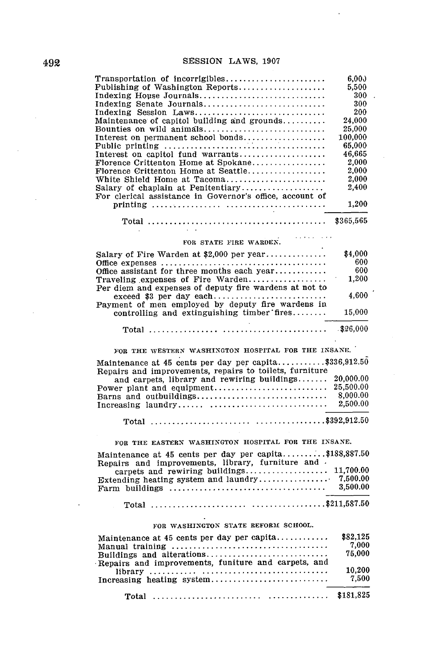$\ddot{\phantom{0}}$ 

| Transportation of incorrigibles<br>Publishing of Washington Reports | 6.00 <sub>0</sub><br>5.500 |
|---------------------------------------------------------------------|----------------------------|
| Indexing House Journals                                             | 300                        |
| Indexing Senate Journals                                            | 300                        |
| Indexing Session Laws                                               | 200                        |
| Maintenance of capitol building and grounds                         | 24,000                     |
| Bounties on wild animals                                            | 25,000                     |
| Interest on permanent school bonds                                  | 100,000                    |
|                                                                     | 65,000                     |
|                                                                     |                            |
| Interest on capitol fund warrants                                   | 46,665                     |
| Florence Crittenton Home at Spokane                                 | 2.000                      |
| Florence Crittenton Home at Seattle                                 | 2,000                      |
| White Shield Home at Tacoma                                         | 2,000                      |
| Salary of chaplain at Penitentiary                                  | 2.400                      |
| For clerical assistance in Governor's office, account of            |                            |
|                                                                     | 1.200                      |
|                                                                     |                            |
| $\sim 100$                                                          |                            |
| in a statute of the state<br>FOR STATE FIRE WARDEN.                 |                            |
| Salary of Fire Warden at \$2,000 per year                           | \$4,000                    |
|                                                                     | 600                        |
| Office assistant for three months each year                         | 600                        |
| Traveling expenses of Fire Warden                                   | 1.200                      |
| Per diem and expenses of deputy fire wardens at not to              |                            |
|                                                                     | 4,600                      |
| Payment of men employed by deputy fire wardens in                   |                            |
|                                                                     | 15,000                     |
| controlling and extinguishing timber fires                          |                            |
|                                                                     |                            |
|                                                                     |                            |
|                                                                     |                            |
| FOR THE WESTERN WASHINGTON HOSPITAL FOR THE INSANE.                 |                            |
| Maintenance at 45 cents per day per capita\$336,912.50              |                            |
| Repairs and improvements, repairs to toilets, furniture             |                            |
| and carpets, library and rewiring buildings                         | 20,000.00                  |
| Power plant and equipment                                           | 25,500.00                  |
| Barns and outbuildings                                              | 8,000.00                   |
| Increasing laundry                                                  | 2,500.00                   |
|                                                                     |                            |
|                                                                     |                            |
| FOR THE EASTERN WASHINGTON HOSPITAL FOR THE INSANE.                 |                            |
| Maintenance at 45 cents per day per capita\$188,887.50              |                            |

|         | M<br>Repairs and improvements. library, furniture and . |  |
|---------|---------------------------------------------------------|--|
|         |                                                         |  |
|         |                                                         |  |
|         |                                                         |  |
| $\cdot$ |                                                         |  |

### Total **...................... ................ \$211,587.50**

# FOR **WASHINGTON STATE** REFORM **SCHOOL.**

| Manual training $\ldots \ldots \ldots \ldots \ldots \ldots \ldots \ldots \ldots \ldots$ | \$82,125<br>7.000 |
|-----------------------------------------------------------------------------------------|-------------------|
| Buildings and alterations                                                               | 75,000            |
| Repairs and improvements, funiture and carpets, and<br>$\frac{1}{100}$                  | 10.200            |
|                                                                                         | 7.500             |
|                                                                                         |                   |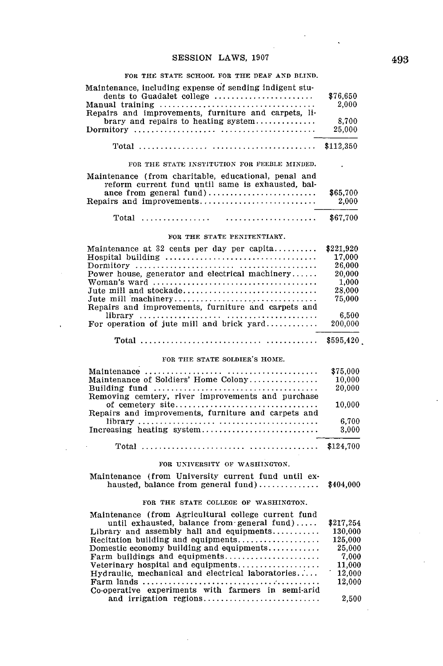$\ddot{\phantom{a}}$ 

 $\ddot{\phantom{a}}$ 

#### FOR THE **STATE SCHOOL** FOR **THE DEAF AND BLIND.**

| Maintenance, including expense of sending indigent stu-<br>dents to Guadalet college<br>Repairs and improvements, furniture and carpets, li- | \$76,650<br>2,000  |
|----------------------------------------------------------------------------------------------------------------------------------------------|--------------------|
| brary and repairs to heating system                                                                                                          | 8.700<br>25,000    |
|                                                                                                                                              | \$112,350          |
| FOR THE STATE INSTITUTION FOR FEEBLE MINDED.                                                                                                 |                    |
| Maintenance (from charitable, educational, penal and<br>reform current fund until same is exhausted, bal-<br>ance from general fund)         | \$65,700           |
| Repairs and improvements                                                                                                                     | 2,000              |
| $Total$                                                                                                                                      | \$67,700           |
| FOR THE STATE PENITENTIARY.                                                                                                                  |                    |
| Maintenance at 32 cents per day per capita                                                                                                   | \$221,920          |
|                                                                                                                                              | 17,000             |
|                                                                                                                                              | 26,000             |
| Power house, generator and electrical machinery                                                                                              | 20,000             |
|                                                                                                                                              | 1.000              |
| Jute mill and stockade                                                                                                                       | 28,000             |
| Jute mill machinery                                                                                                                          | 75,000             |
| Repairs and improvements, furniture and carpets and                                                                                          |                    |
| For operation of jute mill and brick $\gamma$ ard                                                                                            | 6.500<br>200,000   |
|                                                                                                                                              | \$595,420          |
| FOR THE STATE SOLDIER'S HOME.                                                                                                                |                    |
|                                                                                                                                              | \$75,000           |
| Maintenance of Soldiers' Home Colony                                                                                                         | 10.000             |
|                                                                                                                                              | 20,000             |
| Removing cemtery, river improvements and purchase<br>of cemetery site                                                                        | 10,000             |
| Repairs and improvements, furniture and carpets and                                                                                          |                    |
| Increasing heating system                                                                                                                    | 6.700<br>3.000     |
|                                                                                                                                              | \$124,700          |
| FOR UNIVERSITY OF WASHINGTON.                                                                                                                |                    |
|                                                                                                                                              |                    |
| Maintenance (from University current fund until ex-<br>hausted, balance from general fund)                                                   | \$404,000          |
| FOR THE STATE COLLEGE OF WASHINGTON.                                                                                                         |                    |
| Maintenance (from Agricultural college current fund                                                                                          |                    |
| until exhausted, balance from general fund)                                                                                                  | \$217,254          |
| Library and assembly hall and equipments                                                                                                     | 130,000<br>125,000 |
| Recitation building and equipments<br>Domestic economy building and equipments                                                               | 25,000             |
| Farm buildings and equipments                                                                                                                | 7,000              |
| Veterinary hospital and equipments                                                                                                           | 11,000             |
| Hydraulic, mechanical and electrical laboratories                                                                                            | 12,000             |
|                                                                                                                                              | 12,000             |
| Co-operative experiments with farmers in semi-arid                                                                                           |                    |
| and irrigation regions                                                                                                                       | 2,500              |
|                                                                                                                                              |                    |

 $\sim$ 

 $\overline{\phantom{a}}$ 

 $\bar{z}$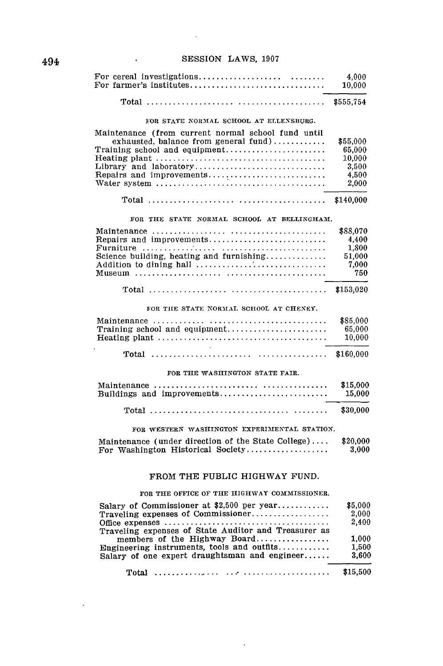$\bar{\alpha}$ 

| For farmer's institutes                                                                        | 4.000<br>10,000    |
|------------------------------------------------------------------------------------------------|--------------------|
|                                                                                                | \$555,754          |
| FOR STATE NORMAL SCHOOL AT ELLENSBURG.                                                         |                    |
| Maintenance (from current normal school fund until                                             |                    |
| exhausted, balance from general fund)                                                          | \$55,000           |
| Training school and equipment                                                                  | 65,000             |
|                                                                                                | 10.000             |
| Library and laboratory                                                                         | 3,500              |
| Repairs and improvements                                                                       | 4,500              |
|                                                                                                | 2,000              |
|                                                                                                | \$140,000          |
| FOR THE STATE NORMAL SCHOOL AT BELLINGHAM.                                                     |                    |
|                                                                                                | \$88.070           |
| Repairs and improvements                                                                       | 4.400              |
|                                                                                                | 1,800              |
| Science building, heating and furnishing                                                       | 51.000             |
|                                                                                                | 7,000              |
|                                                                                                | 750                |
|                                                                                                | \$153,020          |
| FOR THE STATE NORMAL SCHOOL AT CHENEY.                                                         |                    |
|                                                                                                | \$85,000           |
| Training school and equipment                                                                  | 65,000             |
| Heating plant $\ldots, \ldots, \ldots, \ldots, \ldots, \ldots, \ldots, \ldots, \ldots, \ldots$ | 10,000             |
|                                                                                                | \$160,000          |
| FOR THE WASHINGTON STATE FAIR.                                                                 |                    |
|                                                                                                |                    |
| Buildings and improvements                                                                     | \$15,000<br>15,000 |
|                                                                                                | \$30,000           |
|                                                                                                |                    |
| FOR WESTERN WASHINGTON EXPERIMENTAL STATION.                                                   |                    |
| Maintenance (under direction of the State College)<br>For Washington Historical Society        | \$20,000<br>3,000  |
| FROM THE PUBLIC HIGHWAY FUND.                                                                  |                    |
| FOR THE OFFICE OF THE HIGHWAY COMMISSIONER.                                                    |                    |
| Salary of Commissioner at $$2,500$ per year                                                    | \$5,000            |
| Traveling expenses of Commissioner                                                             | 2,000              |
|                                                                                                | 2,400              |
| Traveling expenses of State Auditor and Treasurer as                                           |                    |
| members of the Highway Board                                                                   | 1.000              |
| Engineering instruments, tools and outfits                                                     | 1,500              |
| Salary of one expert draughtsman and engineer                                                  | 3.600              |
|                                                                                                | \$15,500           |

 $\ddot{\phantom{1}}$ 

 $\ddot{\phantom{a}}$